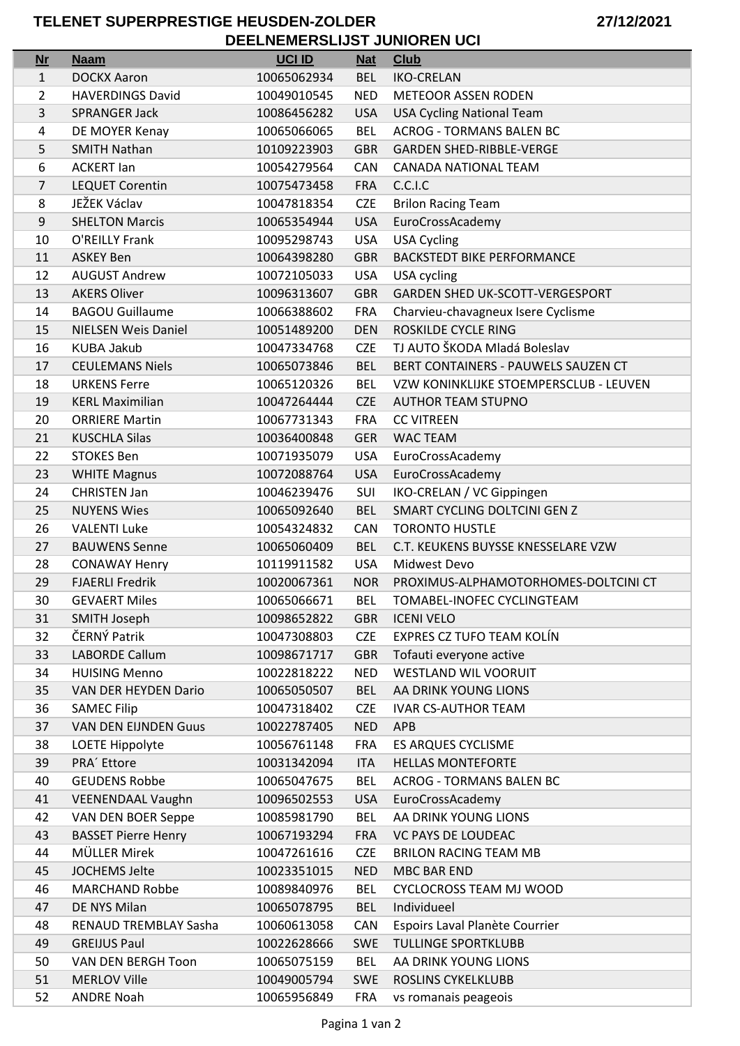## TELENET SUPERPRESTIGE HEUSDEN-ZOLDER DEELNEMERSLIJST JUNIOREN UCI

| <b>Nr</b>    | <b>Naam</b>                  | <b>UCI ID</b> | <b>Nat</b> | <b>Club</b>                            |
|--------------|------------------------------|---------------|------------|----------------------------------------|
| $\mathbf{1}$ | <b>DOCKX Aaron</b>           | 10065062934   | <b>BEL</b> | <b>IKO-CRELAN</b>                      |
| 2            | <b>HAVERDINGS David</b>      | 10049010545   | <b>NED</b> | <b>METEOOR ASSEN RODEN</b>             |
| 3            | <b>SPRANGER Jack</b>         | 10086456282   | <b>USA</b> | <b>USA Cycling National Team</b>       |
| 4            | DE MOYER Kenay               | 10065066065   | <b>BEL</b> | <b>ACROG - TORMANS BALEN BC</b>        |
| 5            | <b>SMITH Nathan</b>          | 10109223903   | <b>GBR</b> | <b>GARDEN SHED-RIBBLE-VERGE</b>        |
| 6            | <b>ACKERT lan</b>            | 10054279564   | CAN        | CANADA NATIONAL TEAM                   |
| 7            | <b>LEQUET Corentin</b>       | 10075473458   | <b>FRA</b> | C.C.I.C                                |
| 8            | JEŽEK Václav                 | 10047818354   | <b>CZE</b> | <b>Brilon Racing Team</b>              |
| 9            | <b>SHELTON Marcis</b>        | 10065354944   | <b>USA</b> | EuroCrossAcademy                       |
| 10           | O'REILLY Frank               | 10095298743   | <b>USA</b> | <b>USA Cycling</b>                     |
| 11           | <b>ASKEY Ben</b>             | 10064398280   | <b>GBR</b> | <b>BACKSTEDT BIKE PERFORMANCE</b>      |
| 12           | <b>AUGUST Andrew</b>         | 10072105033   | <b>USA</b> | USA cycling                            |
| 13           | <b>AKERS Oliver</b>          | 10096313607   | <b>GBR</b> | <b>GARDEN SHED UK-SCOTT-VERGESPORT</b> |
| 14           | <b>BAGOU Guillaume</b>       | 10066388602   | <b>FRA</b> | Charvieu-chavagneux Isere Cyclisme     |
| 15           | <b>NIELSEN Weis Daniel</b>   | 10051489200   | <b>DEN</b> | ROSKILDE CYCLE RING                    |
| 16           | <b>KUBA Jakub</b>            | 10047334768   | <b>CZE</b> | TJ AUTO ŠKODA Mladá Boleslav           |
| 17           | <b>CEULEMANS Niels</b>       | 10065073846   | <b>BEL</b> | BERT CONTAINERS - PAUWELS SAUZEN CT    |
| 18           | <b>URKENS Ferre</b>          | 10065120326   | <b>BEL</b> | VZW KONINKLIJKE STOEMPERSCLUB - LEUVEN |
| 19           | <b>KERL Maximilian</b>       | 10047264444   | <b>CZE</b> | <b>AUTHOR TEAM STUPNO</b>              |
| 20           | <b>ORRIERE Martin</b>        | 10067731343   | <b>FRA</b> | <b>CC VITREEN</b>                      |
| 21           | <b>KUSCHLA Silas</b>         | 10036400848   | <b>GER</b> | <b>WAC TEAM</b>                        |
| 22           | <b>STOKES Ben</b>            | 10071935079   | <b>USA</b> | EuroCrossAcademy                       |
| 23           | <b>WHITE Magnus</b>          | 10072088764   | <b>USA</b> | EuroCrossAcademy                       |
| 24           | <b>CHRISTEN Jan</b>          | 10046239476   | SUI        | IKO-CRELAN / VC Gippingen              |
| 25           | <b>NUYENS Wies</b>           | 10065092640   | <b>BEL</b> | SMART CYCLING DOLTCINI GEN Z           |
| 26           | <b>VALENTI Luke</b>          | 10054324832   | CAN        | <b>TORONTO HUSTLE</b>                  |
| 27           | <b>BAUWENS Senne</b>         | 10065060409   | <b>BEL</b> | C.T. KEUKENS BUYSSE KNESSELARE VZW     |
| 28           | <b>CONAWAY Henry</b>         | 10119911582   | <b>USA</b> | Midwest Devo                           |
| 29           | <b>FJAERLI Fredrik</b>       | 10020067361   | <b>NOR</b> | PROXIMUS-ALPHAMOTORHOMES-DOLTCINI CT   |
| 30           | <b>GEVAERT Miles</b>         | 10065066671   | <b>BEL</b> | TOMABEL-INOFEC CYCLINGTEAM             |
| 31           | <b>SMITH Joseph</b>          | 10098652822   | <b>GBR</b> | <b>ICENI VELO</b>                      |
| 32           | ČERNÝ Patrik                 | 10047308803   | <b>CZE</b> | <b>EXPRES CZ TUFO TEAM KOLÍN</b>       |
| 33           | <b>LABORDE Callum</b>        | 10098671717   | <b>GBR</b> | Tofauti everyone active                |
| 34           | <b>HUISING Menno</b>         | 10022818222   | <b>NED</b> | <b>WESTLAND WIL VOORUIT</b>            |
| 35           | VAN DER HEYDEN Dario         | 10065050507   | <b>BEL</b> | AA DRINK YOUNG LIONS                   |
| 36           | <b>SAMEC Filip</b>           | 10047318402   | <b>CZE</b> | <b>IVAR CS-AUTHOR TEAM</b>             |
| 37           | <b>VAN DEN EIJNDEN Guus</b>  | 10022787405   | <b>NED</b> | <b>APB</b>                             |
| 38           | LOETE Hippolyte              | 10056761148   | <b>FRA</b> | <b>ES ARQUES CYCLISME</b>              |
| 39           | PRA <sup>'</sup> Ettore      | 10031342094   | <b>ITA</b> | <b>HELLAS MONTEFORTE</b>               |
| 40           | <b>GEUDENS Robbe</b>         | 10065047675   | <b>BEL</b> | <b>ACROG - TORMANS BALEN BC</b>        |
| 41           | <b>VEENENDAAL Vaughn</b>     | 10096502553   | <b>USA</b> | EuroCrossAcademy                       |
| 42           | VAN DEN BOER Seppe           | 10085981790   | <b>BEL</b> | AA DRINK YOUNG LIONS                   |
| 43           | <b>BASSET Pierre Henry</b>   | 10067193294   | <b>FRA</b> | <b>VC PAYS DE LOUDEAC</b>              |
| 44           | MÜLLER Mirek                 | 10047261616   | <b>CZE</b> | <b>BRILON RACING TEAM MB</b>           |
| 45           | JOCHEMS Jelte                | 10023351015   | <b>NED</b> | MBC BAR END                            |
| 46           | <b>MARCHAND Robbe</b>        | 10089840976   | <b>BEL</b> | <b>CYCLOCROSS TEAM MJ WOOD</b>         |
| 47           | DE NYS Milan                 | 10065078795   | <b>BEL</b> | Individueel                            |
| 48           | <b>RENAUD TREMBLAY Sasha</b> | 10060613058   | <b>CAN</b> | Espoirs Laval Planète Courrier         |
| 49           | <b>GREIJUS Paul</b>          | 10022628666   | <b>SWE</b> | <b>TULLINGE SPORTKLUBB</b>             |
| 50           | VAN DEN BERGH Toon           | 10065075159   | <b>BEL</b> | AA DRINK YOUNG LIONS                   |
| 51           | <b>MERLOV Ville</b>          | 10049005794   | <b>SWE</b> | ROSLINS CYKELKLUBB                     |
| 52           | <b>ANDRE Noah</b>            | 10065956849   | FRA        | vs romanais peageois                   |